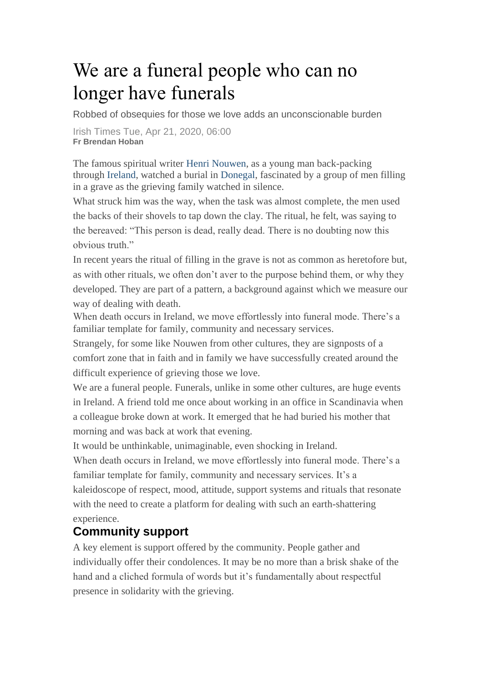## We are a funeral people who can no longer have funerals

Robbed of obsequies for those we love adds an unconscionable burden

Irish Times Tue, Apr 21, 2020, 06:00 **Fr Brendan Hoban**

The famous spiritual writer [Henri Nouwen,](https://www.irishtimes.com/topics/topics-7.1213540?article=true&tag_person=Henri+Nouwen) as a young man back-packing through [Ireland,](https://www.irishtimes.com/news) watched a burial in [Donegal,](https://www.irishtimes.com/topics/topics-7.1213540?article=true&tag_location=Donegal) fascinated by a group of men filling in a grave as the grieving family watched in silence.

What struck him was the way, when the task was almost complete, the men used the backs of their shovels to tap down the clay. The ritual, he felt, was saying to the bereaved: "This person is dead, really dead. There is no doubting now this obvious truth."

In recent years the ritual of filling in the grave is not as common as heretofore but, as with other rituals, we often don't aver to the purpose behind them, or why they developed. They are part of a pattern, a background against which we measure our way of dealing with death.

When death occurs in Ireland, we move effortlessly into funeral mode. There's a familiar template for family, community and necessary services.

Strangely, for some like Nouwen from other cultures, they are signposts of a comfort zone that in faith and in family we have successfully created around the difficult experience of grieving those we love.

We are a funeral people. Funerals, unlike in some other cultures, are huge events in Ireland. A friend told me once about working in an office in Scandinavia when a colleague broke down at work. It emerged that he had buried his mother that morning and was back at work that evening.

It would be unthinkable, unimaginable, even shocking in Ireland.

When death occurs in Ireland, we move effortlessly into funeral mode. There's a familiar template for family, community and necessary services. It's a kaleidoscope of respect, mood, attitude, support systems and rituals that resonate with the need to create a platform for dealing with such an earth-shattering experience.

## **Community support**

A key element is support offered by the community. People gather and individually offer their condolences. It may be no more than a brisk shake of the hand and a cliched formula of words but it's fundamentally about respectful presence in solidarity with the grieving.